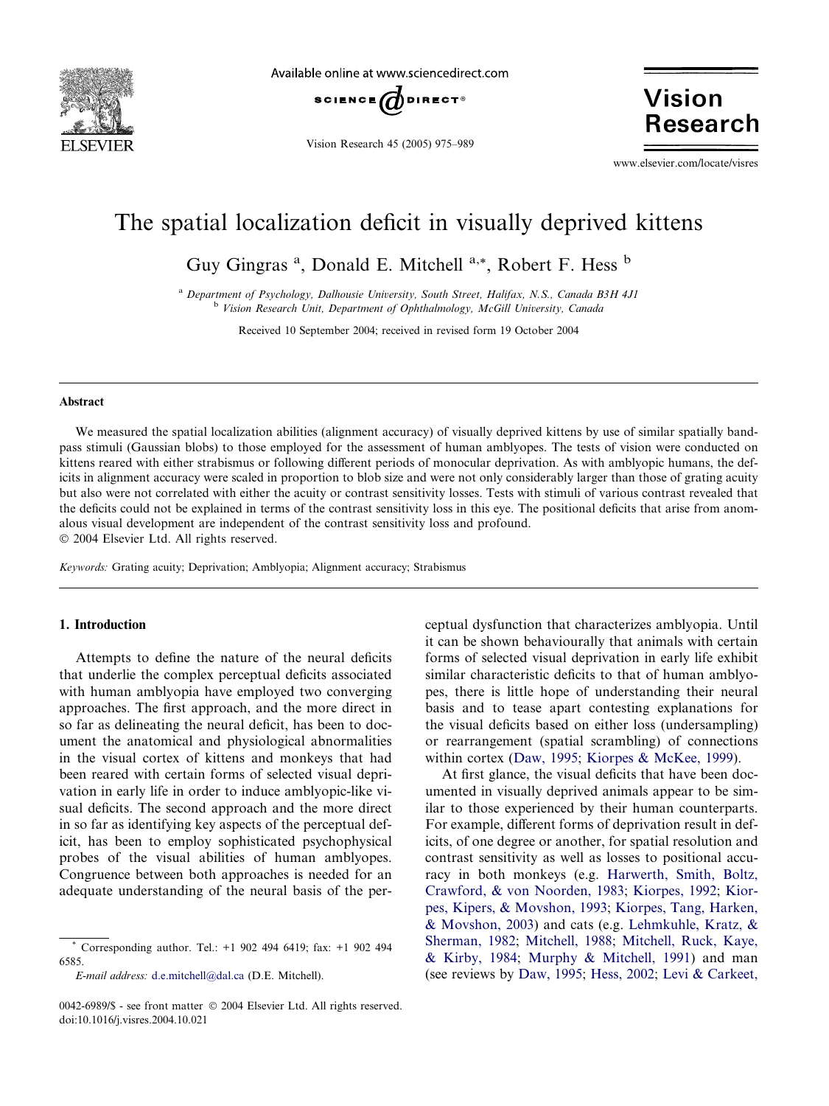

Available online at www.sciencedirect.com



Vision Research 45 (2005) 975–989

**Vision Research** 

www.elsevier.com/locate/visres

# The spatial localization deficit in visually deprived kittens

Guy Gingras<sup>a</sup>, Donald E. Mitchell<sup>a,\*</sup>, Robert F. Hess<sup>b</sup>

<sup>a</sup> Department of Psychology, Dalhousie University, South Street, Halifax, N.S., Canada B3H 4J1 b Vision Research Unit, Department of Ophthalmology, McGill University, Canada

Received 10 September 2004; received in revised form 19 October 2004

#### Abstract

We measured the spatial localization abilities (alignment accuracy) of visually deprived kittens by use of similar spatially bandpass stimuli (Gaussian blobs) to those employed for the assessment of human amblyopes. The tests of vision were conducted on kittens reared with either strabismus or following different periods of monocular deprivation. As with amblyopic humans, the deficits in alignment accuracy were scaled in proportion to blob size and were not only considerably larger than those of grating acuity but also were not correlated with either the acuity or contrast sensitivity losses. Tests with stimuli of various contrast revealed that the deficits could not be explained in terms of the contrast sensitivity loss in this eye. The positional deficits that arise from anomalous visual development are independent of the contrast sensitivity loss and profound.  $© 2004 Elsevier Ltd. All rights reserved.$ 

Keywords: Grating acuity; Deprivation; Amblyopia; Alignment accuracy; Strabismus

#### 1. Introduction

Attempts to define the nature of the neural deficits that underlie the complex perceptual deficits associated with human amblyopia have employed two converging approaches. The first approach, and the more direct in so far as delineating the neural deficit, has been to document the anatomical and physiological abnormalities in the visual cortex of kittens and monkeys that had been reared with certain forms of selected visual deprivation in early life in order to induce amblyopic-like visual deficits. The second approach and the more direct in so far as identifying key aspects of the perceptual deficit, has been to employ sophisticated psychophysical probes of the visual abilities of human amblyopes. Congruence between both approaches is needed for an adequate understanding of the neural basis of the per-

E-mail address: [d.e.mitchell@dal.ca](mailto:d.e.mitchell@dal.ca%20) (D.E. Mitchell).

ceptual dysfunction that characterizes amblyopia. Until it can be shown behaviourally that animals with certain forms of selected visual deprivation in early life exhibit similar characteristic deficits to that of human amblyopes, there is little hope of understanding their neural basis and to tease apart contesting explanations for the visual deficits based on either loss (undersampling) or rearrangement (spatial scrambling) of connections within cortex ([Daw,](#page-13-0) 1995; [Kiorpes](#page-13-0) & McKee, 1999).

At first glance, the visual deficits that have been documented in visually deprived animals appear to be similar to those experienced by their human counterparts. For example, different forms of deprivation result in deficits, of one degree or another, for spatial resolution and contrast sensitivity as well as losses to positional accuracy in both monkeys (e.g. [Harwerth,](#page-13-0) Smith, Boltz, [Crawford,](#page-13-0) & von Noorden, 1983; [Kiorpes,](#page-13-0) 1992; [Kior](#page-13-0)pes, Kipers, & [Movshon,](#page-13-0) 1993; [Kiorpes,](#page-14-0) Tang, Harken, & [Movshon,](#page-14-0) 2003) and cats (e.g. [Lehmkuhle,](#page-14-0) Kratz, & [Sherman,](#page-14-0) 1982; [Mitchell,](#page-14-0) 1988; [Mitchell,](#page-14-0) Ruck, Kaye, & [Kirby,](#page-14-0) 1984; Murphy & [Mitchell,](#page-14-0) 1991) and man (see reviews by [Daw,](#page-13-0) 1995; [Hess,](#page-13-0) 2002; Levi & [Carkeet,](#page-14-0)

<sup>\*</sup> Corresponding author. Tel.: +1 902 494 6419; fax: +1 902 494 6585.

<sup>0042-6989/\$ -</sup> see front matter © 2004 Elsevier Ltd. All rights reserved. doi:10.1016/j.visres.2004.10.021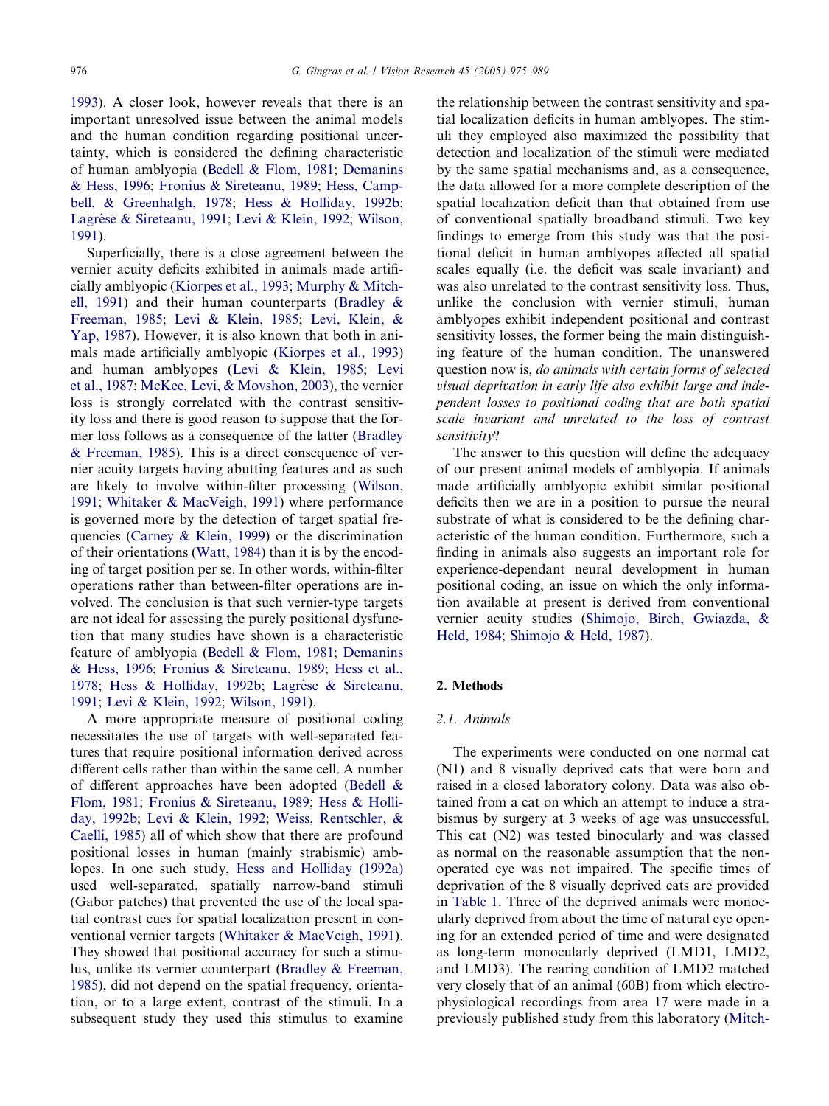[1993\)](#page-14-0). A closer look, however reveals that there is an important unresolved issue between the animal models and the human condition regarding positional uncertainty, which is considered the defining characteristic of human amblyopia ([Bedell](#page-13-0) & Flom, 1981; [Demanins](#page-13-0) & [Hess,](#page-13-0) 1996; Fronius & [Sireteanu,](#page-13-0) 1989; Hess, [Camp](#page-13-0)bell, & [Greenhalgh,](#page-13-0) 1978; Hess & [Holliday,](#page-13-0) 1992b; Lagrèse & [Sireteanu,](#page-14-0) 1991; Levi & [Klein,](#page-14-0) 1992; [Wilson,](#page-14-0) [1991\)](#page-14-0).

Superficially, there is a close agreement between the vernier acuity deficits exhibited in animals made artificially amblyopic ([Kiorpes](#page-13-0) et al., 1993; [Murphy](#page-14-0) & Mitchell, [1991\)](#page-14-0) and their human counterparts [\(Bradley](#page-13-0) & [Freeman,](#page-13-0) 1985; Levi & [Klein,](#page-14-0) 1985; Levi, [Klein,](#page-14-0) & [Yap,](#page-14-0) 1987). However, it is also known that both in animals made artificially amblyopic ([Kiorpes](#page-13-0) et al., 1993) and human amblyopes (Levi & [Klein,](#page-14-0) 1985; [Levi](#page-14-0) et al., [1987;](#page-14-0) McKee, Levi, & [Movshon,](#page-14-0) 2003), the vernier loss is strongly correlated with the contrast sensitivity loss and there is good reason to suppose that the former loss follows as a consequence of the latter ([Bradley](#page-13-0) & [Freeman,](#page-13-0) 1985). This is a direct consequence of vernier acuity targets having abutting features and as such are likely to involve within-filter processing ([Wilson,](#page-14-0) [1991;](#page-14-0) Whitaker & [MacVeigh,](#page-14-0) 1991) where performance is governed more by the detection of target spatial frequencies [\(Carney](#page-13-0) & Klein, 1999) or the discrimination of their orientations ([Watt,](#page-14-0) 1984) than it is by the encoding of target position per se. In other words, within-filter operations rather than between-filter operations are involved. The conclusion is that such vernier-type targets are not ideal for assessing the purely positional dysfunction that many studies have shown is a characteristic feature of amblyopia ([Bedell](#page-13-0) & Flom, 1981; [Demanins](#page-13-0) & [Hess,](#page-13-0) 1996; Fronius & [Sireteanu,](#page-13-0) 1989; [Hess](#page-13-0) et al., [1978;](#page-13-0) Hess & [Holliday,](#page-13-0) 1992b; Lagrèse & [Sireteanu,](#page-14-0) [1991;](#page-14-0) Levi & [Klein,](#page-14-0) 1992; [Wilson,](#page-14-0) 1991).

A more appropriate measure of positional coding necessitates the use of targets with well-separated features that require positional information derived across different cells rather than within the same cell. A number of different approaches have been adopted ([Bedell](#page-13-0) & [Flom,](#page-13-0) 1981; Fronius & [Sireteanu,](#page-13-0) 1989; Hess & [Holli](#page-13-0)day, [1992b;](#page-13-0) Levi & [Klein,](#page-14-0) 1992; Weiss, [Rentschler,](#page-14-0) & [Caelli,](#page-14-0) 1985) all of which show that there are profound positional losses in human (mainly strabismic) amblopes. In one such study, Hess and [Holliday](#page-13-0) (1992a) used well-separated, spatially narrow-band stimuli (Gabor patches) that prevented the use of the local spatial contrast cues for spatial localization present in conventional vernier targets (Whitaker & [MacVeigh,](#page-14-0) 1991). They showed that positional accuracy for such a stimulus, unlike its vernier counterpart (Bradley & [Freeman,](#page-13-0) [1985\)](#page-13-0), did not depend on the spatial frequency, orientation, or to a large extent, contrast of the stimuli. In a subsequent study they used this stimulus to examine the relationship between the contrast sensitivity and spatial localization deficits in human amblyopes. The stimuli they employed also maximized the possibility that detection and localization of the stimuli were mediated by the same spatial mechanisms and, as a consequence, the data allowed for a more complete description of the spatial localization deficit than that obtained from use of conventional spatially broadband stimuli. Two key findings to emerge from this study was that the positional deficit in human amblyopes affected all spatial scales equally (i.e. the deficit was scale invariant) and was also unrelated to the contrast sensitivity loss. Thus, unlike the conclusion with vernier stimuli, human amblyopes exhibit independent positional and contrast sensitivity losses, the former being the main distinguishing feature of the human condition. The unanswered question now is, do animals with certain forms of selected visual deprivation in early life also exhibit large and independent losses to positional coding that are both spatial scale invariant and unrelated to the loss of contrast sensitivity?

The answer to this question will define the adequacy of our present animal models of amblyopia. If animals made artificially amblyopic exhibit similar positional deficits then we are in a position to pursue the neural substrate of what is considered to be the defining characteristic of the human condition. Furthermore, such a finding in animals also suggests an important role for experience-dependant neural development in human positional coding, an issue on which the only information available at present is derived from conventional vernier acuity studies (Shimojo, Birch, [Gwiazda,](#page-14-0) & [Held,](#page-14-0) 1984; [Shimojo](#page-14-0) & Held, 1987).

## 2. Methods

## 2.1. Animals

The experiments were conducted on one normal cat (N1) and 8 visually deprived cats that were born and raised in a closed laboratory colony. Data was also obtained from a cat on which an attempt to induce a strabismus by surgery at 3 weeks of age was unsuccessful. This cat (N2) was tested binocularly and was classed as normal on the reasonable assumption that the nonoperated eye was not impaired. The specific times of deprivation of the 8 visually deprived cats are provided in [Table](#page-2-0) 1. Three of the deprived animals were monocularly deprived from about the time of natural eye opening for an extended period of time and were designated as long-term monocularly deprived (LMD1, LMD2, and LMD3). The rearing condition of LMD2 matched very closely that of an animal (60B) from which electrophysiological recordings from area 17 were made in a previously published study from this laboratory ([Mitch-](#page-14-0)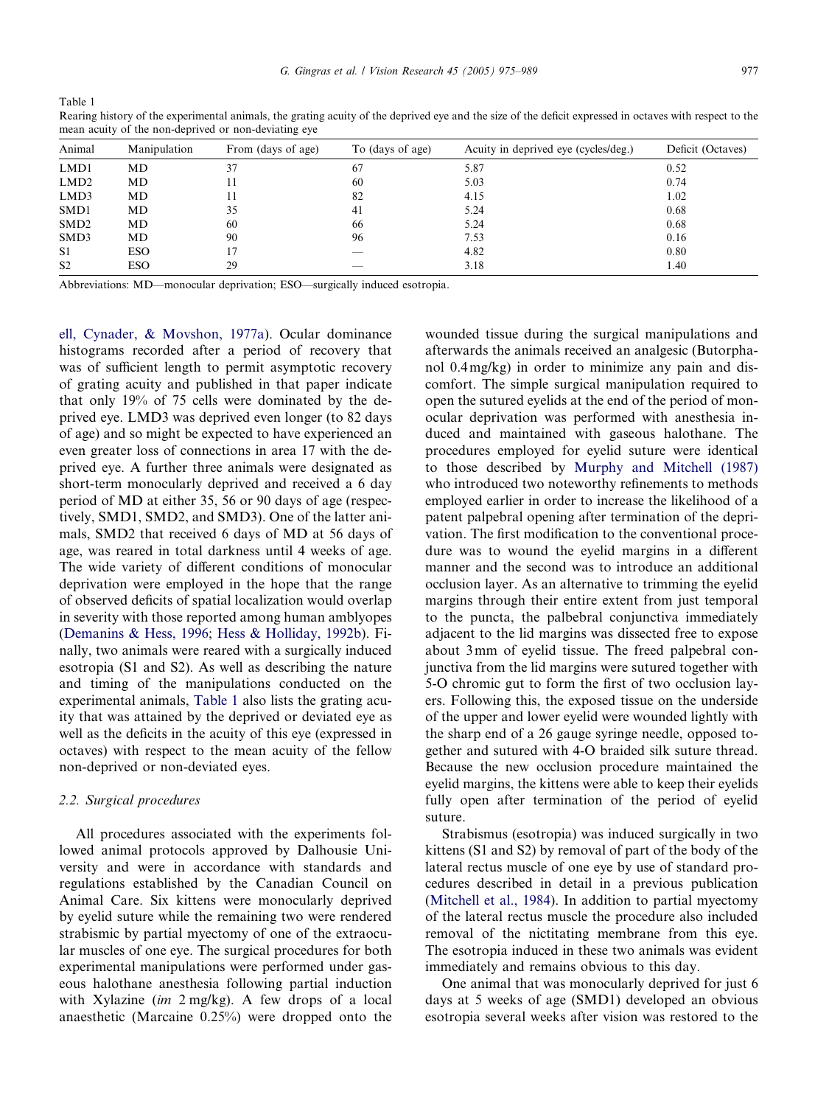<span id="page-2-0"></span>Table 1

| Animal           | Manipulation | From (days of age) | To (days of age) | Acuity in deprived eye (cycles/deg.) | Deficit (Octaves) |
|------------------|--------------|--------------------|------------------|--------------------------------------|-------------------|
| LMD1             | MD           | 37                 | 67               | 5.87                                 | 0.52              |
| LMD <sub>2</sub> | MD           | 11                 | 60               | 5.03                                 | 0.74              |
| LMD3             | MD           | 11                 | 82               | 4.15                                 | 1.02              |
| SMD1             | MD           | 35                 | 41               | 5.24                                 | 0.68              |
| SMD <sub>2</sub> | MD           | 60                 | 66               | 5.24                                 | 0.68              |
| SMD3             | MD           | 90                 | 96               | 7.53                                 | 0.16              |
| S1               | <b>ESO</b>   | 17                 | __               | 4.82                                 | 0.80              |
| S <sub>2</sub>   | <b>ESO</b>   | 29                 | _                | 3.18                                 | 1.40              |

Rearing history of the experimental animals, the grating acuity of the deprived eye and the size of the deficit expressed in octaves with respect to the mean acuity of the non-deprived or non-deviating eye

Abbreviations: MD—monocular deprivation; ESO—surgically induced esotropia.

ell, Cynader, & [Movshon,](#page-14-0) 1977a). Ocular dominance histograms recorded after a period of recovery that was of sufficient length to permit asymptotic recovery of grating acuity and published in that paper indicate that only 19% of 75 cells were dominated by the deprived eye. LMD3 was deprived even longer (to 82 days of age) and so might be expected to have experienced an even greater loss of connections in area 17 with the deprived eye. A further three animals were designated as short-term monocularly deprived and received a 6 day period of MD at either 35, 56 or 90 days of age (respectively, SMD1, SMD2, and SMD3). One of the latter animals, SMD2 that received 6 days of MD at 56 days of age, was reared in total darkness until 4 weeks of age. The wide variety of different conditions of monocular deprivation were employed in the hope that the range of observed deficits of spatial localization would overlap in severity with those reported among human amblyopes ([Demanins](#page-13-0) & Hess, 1996; Hess & [Holliday,](#page-13-0) 1992b). Finally, two animals were reared with a surgically induced esotropia (S1 and S2). As well as describing the nature and timing of the manipulations conducted on the experimental animals, Table 1 also lists the grating acuity that was attained by the deprived or deviated eye as well as the deficits in the acuity of this eye (expressed in octaves) with respect to the mean acuity of the fellow non-deprived or non-deviated eyes.

### 2.2. Surgical procedures

All procedures associated with the experiments followed animal protocols approved by Dalhousie University and were in accordance with standards and regulations established by the Canadian Council on Animal Care. Six kittens were monocularly deprived by eyelid suture while the remaining two were rendered strabismic by partial myectomy of one of the extraocular muscles of one eye. The surgical procedures for both experimental manipulations were performed under gaseous halothane anesthesia following partial induction with Xylazine (im 2 mg/kg). A few drops of a local anaesthetic (Marcaine 0.25%) were dropped onto the

wounded tissue during the surgical manipulations and afterwards the animals received an analgesic (Butorphanol 0.4mg/kg) in order to minimize any pain and discomfort. The simple surgical manipulation required to open the sutured eyelids at the end of the period of monocular deprivation was performed with anesthesia induced and maintained with gaseous halothane. The procedures employed for eyelid suture were identical to those described by Murphy and [Mitchell](#page-14-0) (1987) who introduced two noteworthy refinements to methods employed earlier in order to increase the likelihood of a patent palpebral opening after termination of the deprivation. The first modification to the conventional procedure was to wound the eyelid margins in a different manner and the second was to introduce an additional occlusion layer. As an alternative to trimming the eyelid margins through their entire extent from just temporal to the puncta, the palbebral conjunctiva immediately adjacent to the lid margins was dissected free to expose about 3mm of eyelid tissue. The freed palpebral conjunctiva from the lid margins were sutured together with 5-O chromic gut to form the first of two occlusion layers. Following this, the exposed tissue on the underside of the upper and lower eyelid were wounded lightly with the sharp end of a 26 gauge syringe needle, opposed together and sutured with 4-O braided silk suture thread. Because the new occlusion procedure maintained the eyelid margins, the kittens were able to keep their eyelids fully open after termination of the period of eyelid suture.

Strabismus (esotropia) was induced surgically in two kittens (S1 and S2) by removal of part of the body of the lateral rectus muscle of one eye by use of standard procedures described in detail in a previous publication ([Mitchell](#page-14-0) et al., 1984). In addition to partial myectomy of the lateral rectus muscle the procedure also included removal of the nictitating membrane from this eye. The esotropia induced in these two animals was evident immediately and remains obvious to this day.

One animal that was monocularly deprived for just 6 days at 5 weeks of age (SMD1) developed an obvious esotropia several weeks after vision was restored to the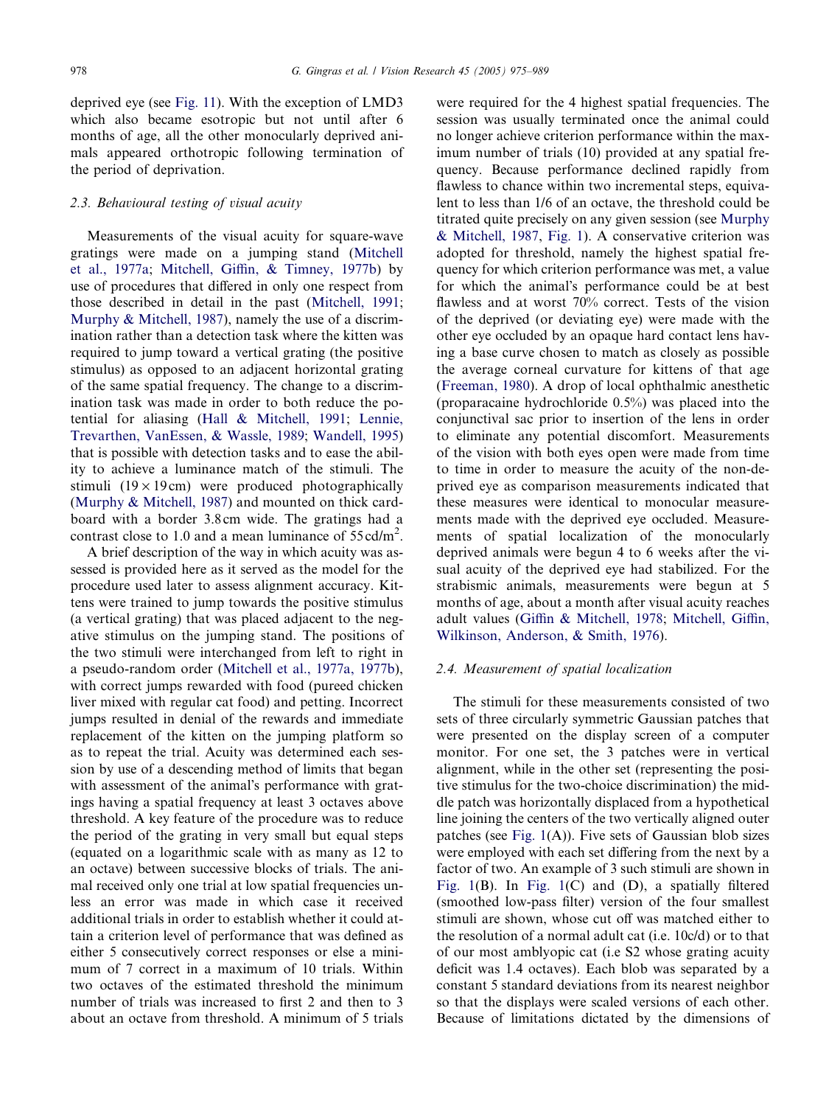deprived eye (see [Fig.](#page-12-0) 11). With the exception of LMD3 which also became esotropic but not until after 6 months of age, all the other monocularly deprived animals appeared orthotropic following termination of the period of deprivation.

# 2.3. Behavioural testing of visual acuity

Measurements of the visual acuity for square-wave gratings were made on a jumping stand [\(Mitchell](#page-14-0) et al., [1977a](#page-14-0); [Mitchell,](#page-14-0) Giffin, & Timney, 1977b) by use of procedures that differed in only one respect from those described in detail in the past ([Mitchell,](#page-14-0) 1991; Murphy & [Mitchell,](#page-14-0) 1987), namely the use of a discrimination rather than a detection task where the kitten was required to jump toward a vertical grating (the positive stimulus) as opposed to an adjacent horizontal grating of the same spatial frequency. The change to a discrimination task was made in order to both reduce the potential for aliasing (Hall & [Mitchell,](#page-13-0) 1991; [Lennie,](#page-14-0) [Trevarthen,](#page-14-0) VanEssen, & Wassle, 1989; [Wandell,](#page-14-0) 1995) that is possible with detection tasks and to ease the ability to achieve a luminance match of the stimuli. The stimuli  $(19 \times 19 \text{ cm})$  were produced photographically (Murphy & [Mitchell,](#page-14-0) 1987) and mounted on thick cardboard with a border 3.8cm wide. The gratings had a contrast close to 1.0 and a mean luminance of  $55 \text{cd/m}^2$ .

A brief description of the way in which acuity was assessed is provided here as it served as the model for the procedure used later to assess alignment accuracy. Kittens were trained to jump towards the positive stimulus (a vertical grating) that was placed adjacent to the negative stimulus on the jumping stand. The positions of the two stimuli were interchanged from left to right in a pseudo-random order ([Mitchell](#page-14-0) et al., 1977a, 1977b), with correct jumps rewarded with food (pureed chicken liver mixed with regular cat food) and petting. Incorrect jumps resulted in denial of the rewards and immediate replacement of the kitten on the jumping platform so as to repeat the trial. Acuity was determined each session by use of a descending method of limits that began with assessment of the animal's performance with gratings having a spatial frequency at least 3 octaves above threshold. A key feature of the procedure was to reduce the period of the grating in very small but equal steps (equated on a logarithmic scale with as many as 12 to an octave) between successive blocks of trials. The animal received only one trial at low spatial frequencies unless an error was made in which case it received additional trials in order to establish whether it could attain a criterion level of performance that was defined as either 5 consecutively correct responses or else a minimum of 7 correct in a maximum of 10 trials. Within two octaves of the estimated threshold the minimum number of trials was increased to first 2 and then to 3 about an octave from threshold. A minimum of 5 trials

were required for the 4 highest spatial frequencies. The session was usually terminated once the animal could no longer achieve criterion performance within the maximum number of trials (10) provided at any spatial frequency. Because performance declined rapidly from flawless to chance within two incremental steps, equivalent to less than 1/6 of an octave, the threshold could be titrated quite precisely on any given session (see [Murphy](#page-14-0) & [Mitchell,](#page-14-0) 1987, [Fig.](#page-4-0) 1). A conservative criterion was adopted for threshold, namely the highest spatial frequency for which criterion performance was met, a value for which the animal's performance could be at best flawless and at worst 70% correct. Tests of the vision of the deprived (or deviating eye) were made with the other eye occluded by an opaque hard contact lens having a base curve chosen to match as closely as possible the average corneal curvature for kittens of that age ([Freeman,](#page-13-0) 1980). A drop of local ophthalmic anesthetic (proparacaine hydrochloride 0.5%) was placed into the conjunctival sac prior to insertion of the lens in order to eliminate any potential discomfort. Measurements of the vision with both eyes open were made from time to time in order to measure the acuity of the non-deprived eye as comparison measurements indicated that these measures were identical to monocular measurements made with the deprived eye occluded. Measurements of spatial localization of the monocularly deprived animals were begun 4 to 6 weeks after the visual acuity of the deprived eye had stabilized. For the strabismic animals, measurements were begun at 5 months of age, about a month after visual acuity reaches adult values (Giffin & [Mitchell,](#page-13-0) 1978; [Mitchell,](#page-14-0) Giffin, [Wilkinson,](#page-14-0) Anderson, & Smith, 1976).

#### 2.4. Measurement of spatial localization

The stimuli for these measurements consisted of two sets of three circularly symmetric Gaussian patches that were presented on the display screen of a computer monitor. For one set, the 3 patches were in vertical alignment, while in the other set (representing the positive stimulus for the two-choice discrimination) the middle patch was horizontally displaced from a hypothetical line joining the centers of the two vertically aligned outer patches (see [Fig.](#page-4-0)  $1(A)$ ). Five sets of Gaussian blob sizes were employed with each set differing from the next by a factor of two. An example of 3 such stimuli are shown in [Fig.](#page-4-0) 1(B). In [Fig.](#page-4-0) 1(C) and (D), a spatially filtered (smoothed low-pass filter) version of the four smallest stimuli are shown, whose cut off was matched either to the resolution of a normal adult cat (i.e. 10c/d) or to that of our most amblyopic cat (i.e S2 whose grating acuity deficit was 1.4 octaves). Each blob was separated by a constant 5 standard deviations from its nearest neighbor so that the displays were scaled versions of each other. Because of limitations dictated by the dimensions of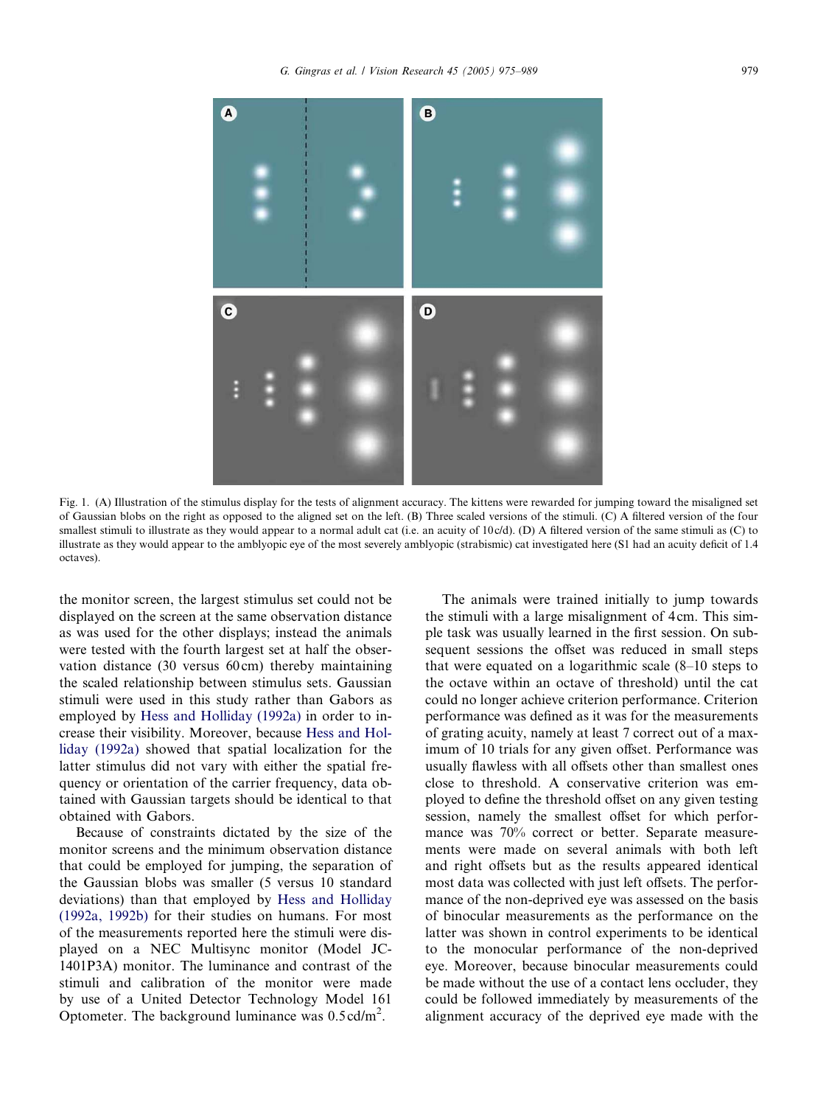<span id="page-4-0"></span>

Fig. 1. (A) Illustration of the stimulus display for the tests of alignment accuracy. The kittens were rewarded for jumping toward the misaligned set of Gaussian blobs on the right as opposed to the aligned set on the left. (B) Three scaled versions of the stimuli. (C) A filtered version of the four smallest stimuli to illustrate as they would appear to a normal adult cat (i.e. an acuity of  $10c/d$ ). (D) A filtered version of the same stimuli as (C) to illustrate as they would appear to the amblyopic eye of the most severely amblyopic (strabismic) cat investigated here (S1 had an acuity deficit of 1.4 octaves).

the monitor screen, the largest stimulus set could not be displayed on the screen at the same observation distance as was used for the other displays; instead the animals were tested with the fourth largest set at half the observation distance (30 versus 60cm) thereby maintaining the scaled relationship between stimulus sets. Gaussian stimuli were used in this study rather than Gabors as employed by Hess and [Holliday](#page-13-0) (1992a) in order to increase their visibility. Moreover, because [Hess](#page-13-0) and Holliday [\(1992a\)](#page-13-0) showed that spatial localization for the latter stimulus did not vary with either the spatial frequency or orientation of the carrier frequency, data obtained with Gaussian targets should be identical to that obtained with Gabors.

Because of constraints dictated by the size of the monitor screens and the minimum observation distance that could be employed for jumping, the separation of the Gaussian blobs was smaller (5 versus 10 standard deviations) than that employed by Hess and [Holliday](#page-13-0) [\(1992a,](#page-13-0) 1992b) for their studies on humans. For most of the measurements reported here the stimuli were displayed on a NEC Multisync monitor (Model JC-1401P3A) monitor. The luminance and contrast of the stimuli and calibration of the monitor were made by use of a United Detector Technology Model 161 Optometer. The background luminance was  $0.5 \text{ cd/m}^2$ .

The animals were trained initially to jump towards the stimuli with a large misalignment of 4cm. This simple task was usually learned in the first session. On subsequent sessions the offset was reduced in small steps that were equated on a logarithmic scale (8–10 steps to the octave within an octave of threshold) until the cat could no longer achieve criterion performance. Criterion performance was defined as it was for the measurements of grating acuity, namely at least 7 correct out of a maximum of 10 trials for any given offset. Performance was usually flawless with all offsets other than smallest ones close to threshold. A conservative criterion was employed to define the threshold offset on any given testing session, namely the smallest offset for which performance was 70% correct or better. Separate measurements were made on several animals with both left and right offsets but as the results appeared identical most data was collected with just left offsets. The performance of the non-deprived eye was assessed on the basis of binocular measurements as the performance on the latter was shown in control experiments to be identical to the monocular performance of the non-deprived eye. Moreover, because binocular measurements could be made without the use of a contact lens occluder, they could be followed immediately by measurements of the alignment accuracy of the deprived eye made with the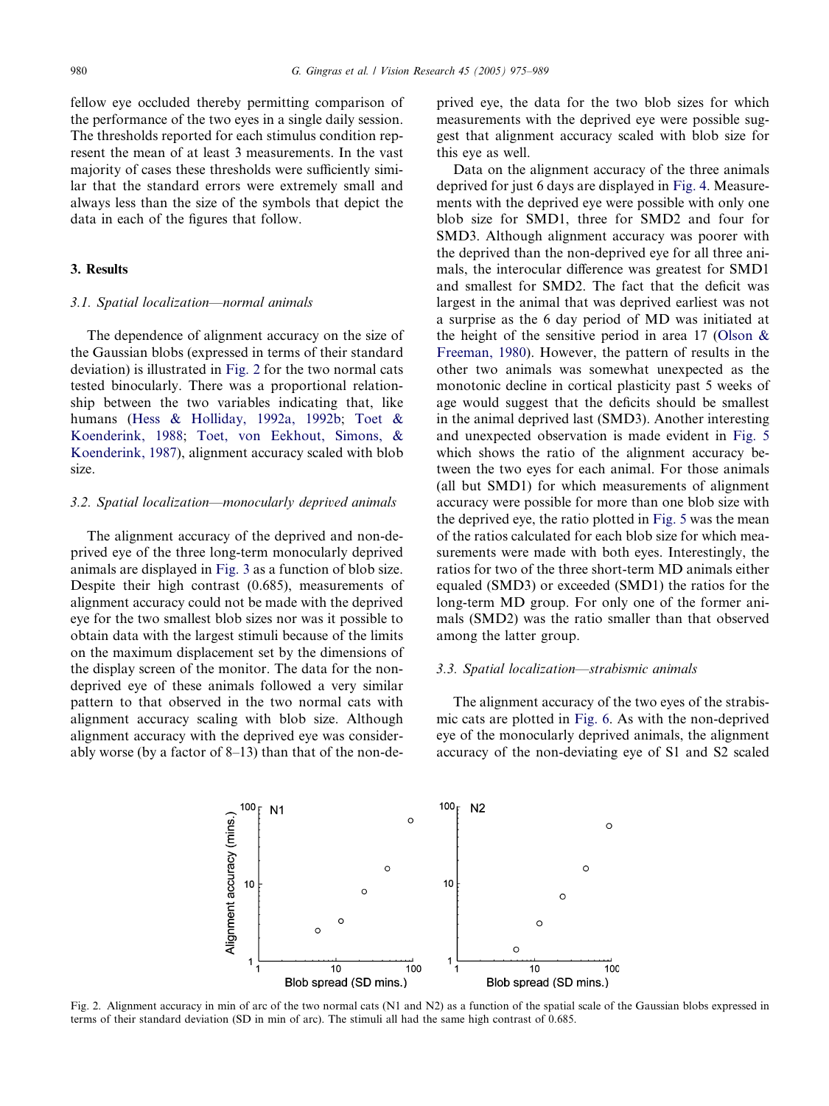fellow eye occluded thereby permitting comparison of the performance of the two eyes in a single daily session. The thresholds reported for each stimulus condition represent the mean of at least 3 measurements. In the vast majority of cases these thresholds were sufficiently similar that the standard errors were extremely small and always less than the size of the symbols that depict the data in each of the figures that follow.

### 3. Results

#### 3.1. Spatial localization—normal animals

The dependence of alignment accuracy on the size of the Gaussian blobs (expressed in terms of their standard deviation) is illustrated in Fig. 2 for the two normal cats tested binocularly. There was a proportional relationship between the two variables indicating that, like humans (Hess & [Holliday,](#page-13-0) 1992a, 1992b; [Toet](#page-14-0) & [Koenderink,](#page-14-0) 1988; Toet, von [Eekhout,](#page-14-0) Simons, & [Koenderink,](#page-14-0) 1987), alignment accuracy scaled with blob size.

## 3.2. Spatial localization—monocularly deprived animals

The alignment accuracy of the deprived and non-deprived eye of the three long-term monocularly deprived animals are displayed in [Fig.](#page-6-0) 3 as a function of blob size. Despite their high contrast (0.685), measurements of alignment accuracy could not be made with the deprived eye for the two smallest blob sizes nor was it possible to obtain data with the largest stimuli because of the limits on the maximum displacement set by the dimensions of the display screen of the monitor. The data for the nondeprived eye of these animals followed a very similar pattern to that observed in the two normal cats with alignment accuracy scaling with blob size. Although alignment accuracy with the deprived eye was considerably worse (by a factor of 8–13) than that of the non-deprived eye, the data for the two blob sizes for which measurements with the deprived eye were possible suggest that alignment accuracy scaled with blob size for this eye as well.

Data on the alignment accuracy of the three animals deprived for just 6 days are displayed in [Fig.](#page-7-0) 4. Measurements with the deprived eye were possible with only one blob size for SMD1, three for SMD2 and four for SMD3. Although alignment accuracy was poorer with the deprived than the non-deprived eye for all three animals, the interocular difference was greatest for SMD1 and smallest for SMD2. The fact that the deficit was largest in the animal that was deprived earliest was not a surprise as the 6 day period of MD was initiated at the height of the sensitive period in area 17 ([Olson](#page-14-0) & [Freeman,](#page-14-0) 1980). However, the pattern of results in the other two animals was somewhat unexpected as the monotonic decline in cortical plasticity past 5 weeks of age would suggest that the deficits should be smallest in the animal deprived last (SMD3). Another interesting and unexpected observation is made evident in [Fig.](#page-8-0) 5 which shows the ratio of the alignment accuracy between the two eyes for each animal. For those animals (all but SMD1) for which measurements of alignment accuracy were possible for more than one blob size with the deprived eye, the ratio plotted in [Fig.](#page-8-0) 5 was the mean of the ratios calculated for each blob size for which measurements were made with both eyes. Interestingly, the ratios for two of the three short-term MD animals either equaled (SMD3) or exceeded (SMD1) the ratios for the long-term MD group. For only one of the former animals (SMD2) was the ratio smaller than that observed among the latter group.

## 3.3. Spatial localization—strabismic animals

The alignment accuracy of the two eyes of the strabismic cats are plotted in [Fig.](#page-8-0) 6. As with the non-deprived eye of the monocularly deprived animals, the alignment accuracy of the non-deviating eye of S1 and S2 scaled



Fig. 2. Alignment accuracy in min of arc of the two normal cats (N1 and N2) as a function of the spatial scale of the Gaussian blobs expressed in terms of their standard deviation (SD in min of arc). The stimuli all had the same high contrast of 0.685.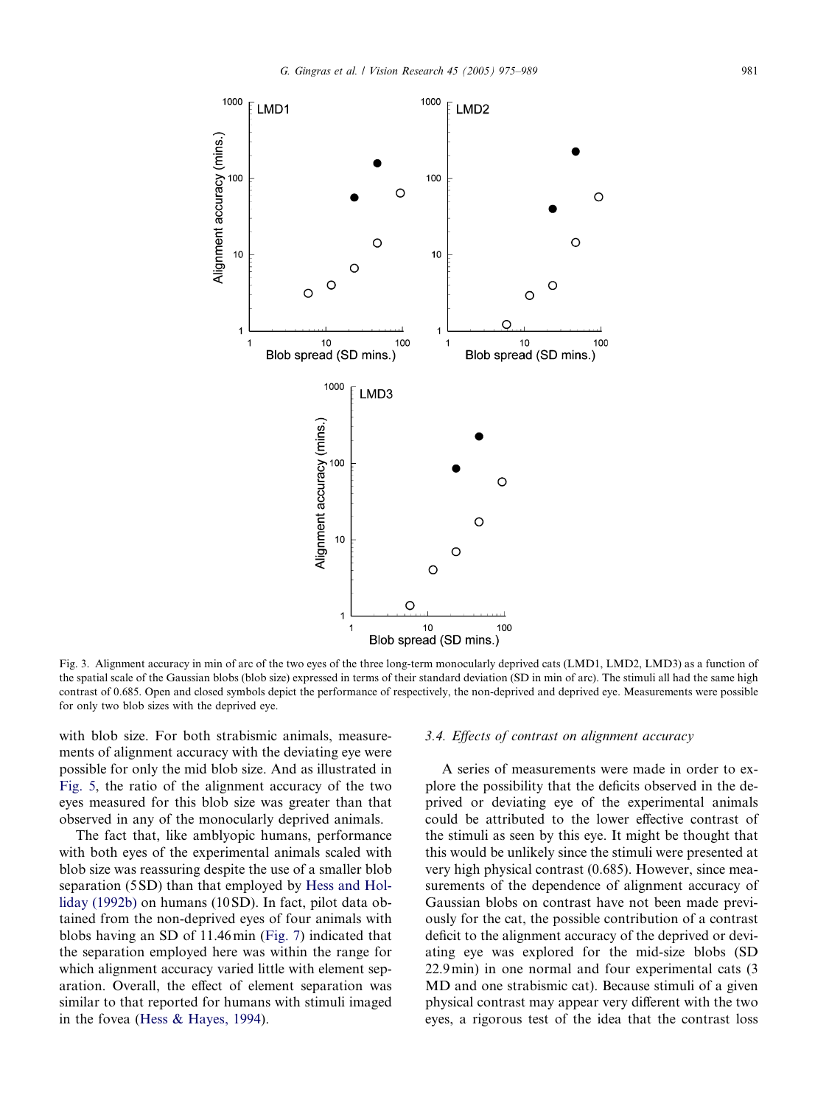<span id="page-6-0"></span>

Fig. 3. Alignment accuracy in min of arc of the two eyes of the three long-term monocularly deprived cats (LMD1, LMD2, LMD3) as a function of the spatial scale of the Gaussian blobs (blob size) expressed in terms of their standard deviation (SD in min of arc). The stimuli all had the same high contrast of 0.685. Open and closed symbols depict the performance of respectively, the non-deprived and deprived eye. Measurements were possible for only two blob sizes with the deprived eye.

with blob size. For both strabismic animals, measurements of alignment accuracy with the deviating eye were possible for only the mid blob size. And as illustrated in [Fig.](#page-8-0) 5, the ratio of the alignment accuracy of the two eyes measured for this blob size was greater than that observed in any of the monocularly deprived animals.

The fact that, like amblyopic humans, performance with both eyes of the experimental animals scaled with blob size was reassuring despite the use of a smaller blob separation (5SD) than that employed by [Hess](#page-13-0) and Holliday [\(1992b\)](#page-13-0) on humans (10SD). In fact, pilot data obtained from the non-deprived eyes of four animals with blobs having an SD of 11.46min [\(Fig.](#page-8-0) 7) indicated that the separation employed here was within the range for which alignment accuracy varied little with element separation. Overall, the effect of element separation was similar to that reported for humans with stimuli imaged in the fovea (Hess & [Hayes,](#page-13-0) 1994).

#### 3.4. Effects of contrast on alignment accuracy

A series of measurements were made in order to explore the possibility that the deficits observed in the deprived or deviating eye of the experimental animals could be attributed to the lower effective contrast of the stimuli as seen by this eye. It might be thought that this would be unlikely since the stimuli were presented at very high physical contrast (0.685). However, since measurements of the dependence of alignment accuracy of Gaussian blobs on contrast have not been made previously for the cat, the possible contribution of a contrast deficit to the alignment accuracy of the deprived or deviating eye was explored for the mid-size blobs (SD 22.9min) in one normal and four experimental cats (3 MD and one strabismic cat). Because stimuli of a given physical contrast may appear very different with the two eyes, a rigorous test of the idea that the contrast loss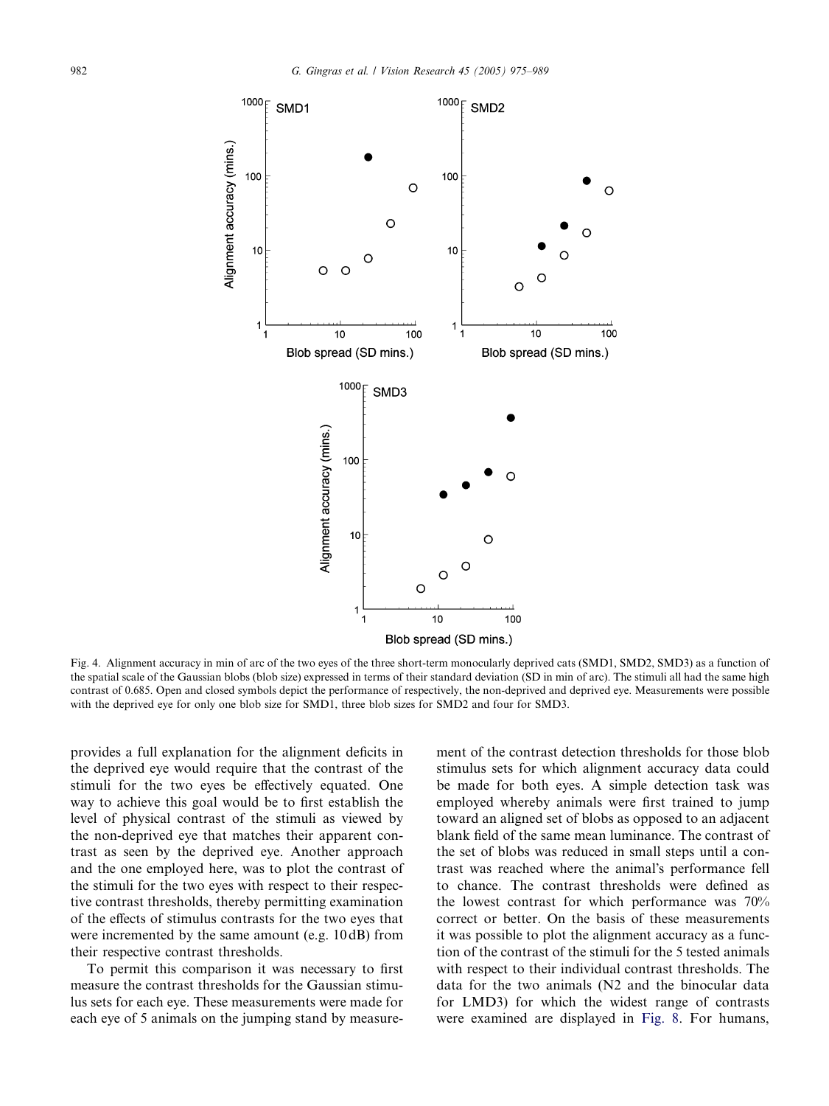<span id="page-7-0"></span>

Fig. 4. Alignment accuracy in min of arc of the two eyes of the three short-term monocularly deprived cats (SMD1, SMD2, SMD3) as a function of the spatial scale of the Gaussian blobs (blob size) expressed in terms of their standard deviation (SD in min of arc). The stimuli all had the same high contrast of 0.685. Open and closed symbols depict the performance of respectively, the non-deprived and deprived eye. Measurements were possible with the deprived eye for only one blob size for SMD1, three blob sizes for SMD2 and four for SMD3.

provides a full explanation for the alignment deficits in the deprived eye would require that the contrast of the stimuli for the two eyes be effectively equated. One way to achieve this goal would be to first establish the level of physical contrast of the stimuli as viewed by the non-deprived eye that matches their apparent contrast as seen by the deprived eye. Another approach and the one employed here, was to plot the contrast of the stimuli for the two eyes with respect to their respective contrast thresholds, thereby permitting examination of the effects of stimulus contrasts for the two eyes that were incremented by the same amount (e.g. 10dB) from their respective contrast thresholds.

To permit this comparison it was necessary to first measure the contrast thresholds for the Gaussian stimulus sets for each eye. These measurements were made for each eye of 5 animals on the jumping stand by measurement of the contrast detection thresholds for those blob stimulus sets for which alignment accuracy data could be made for both eyes. A simple detection task was employed whereby animals were first trained to jump toward an aligned set of blobs as opposed to an adjacent blank field of the same mean luminance. The contrast of the set of blobs was reduced in small steps until a contrast was reached where the animal's performance fell to chance. The contrast thresholds were defined as the lowest contrast for which performance was 70% correct or better. On the basis of these measurements it was possible to plot the alignment accuracy as a function of the contrast of the stimuli for the 5 tested animals with respect to their individual contrast thresholds. The data for the two animals (N2 and the binocular data for LMD3) for which the widest range of contrasts were examined are displayed in [Fig.](#page-9-0) 8. For humans,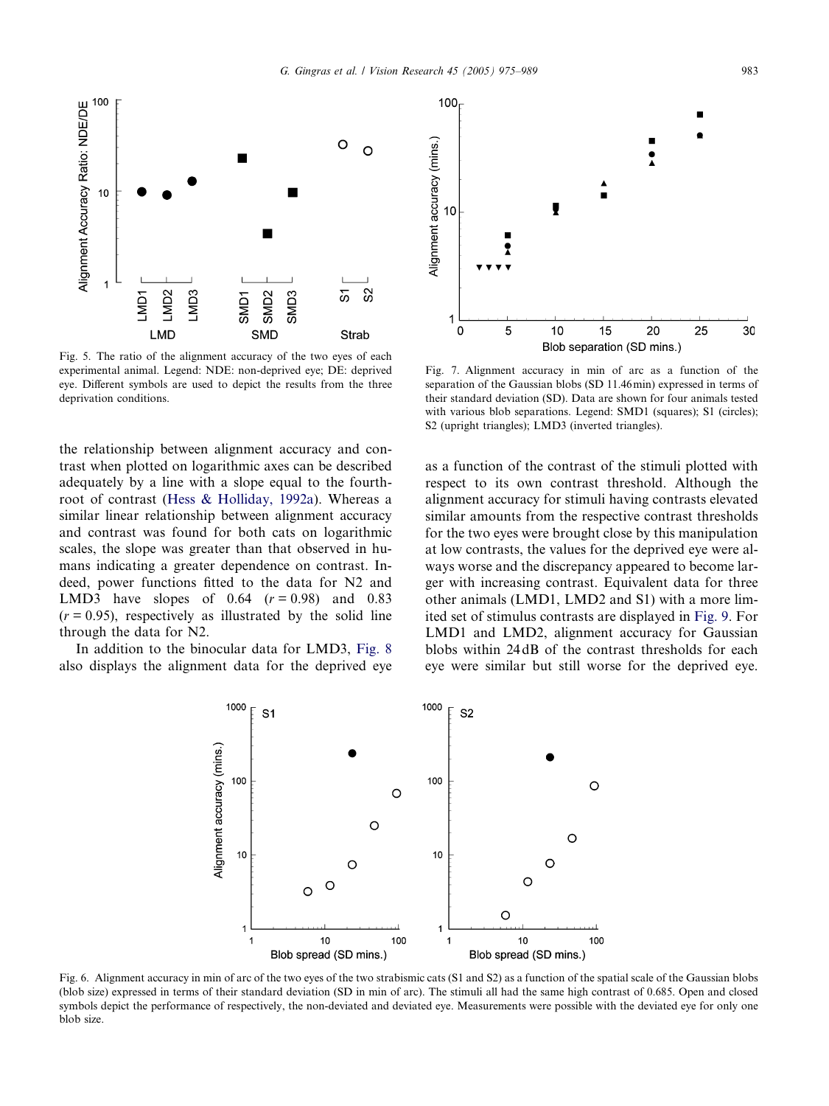<span id="page-8-0"></span>

Fig. 5. The ratio of the alignment accuracy of the two eyes of each experimental animal. Legend: NDE: non-deprived eye; DE: deprived eye. Different symbols are used to depict the results from the three deprivation conditions.

the relationship between alignment accuracy and contrast when plotted on logarithmic axes can be described adequately by a line with a slope equal to the fourthroot of contrast (Hess & [Holliday,](#page-13-0) 1992a). Whereas a similar linear relationship between alignment accuracy and contrast was found for both cats on logarithmic scales, the slope was greater than that observed in humans indicating a greater dependence on contrast. Indeed, power functions fitted to the data for N2 and LMD3 have slopes of 0.64  $(r = 0.98)$  and 0.83  $(r = 0.95)$ , respectively as illustrated by the solid line through the data for N2.

In addition to the binocular data for LMD3, [Fig.](#page-9-0) 8 also displays the alignment data for the deprived eye



Fig. 7. Alignment accuracy in min of arc as a function of the separation of the Gaussian blobs (SD 11.46min) expressed in terms of their standard deviation (SD). Data are shown for four animals tested with various blob separations. Legend: SMD1 (squares); S1 (circles); S2 (upright triangles); LMD3 (inverted triangles).

as a function of the contrast of the stimuli plotted with respect to its own contrast threshold. Although the alignment accuracy for stimuli having contrasts elevated similar amounts from the respective contrast thresholds for the two eyes were brought close by this manipulation at low contrasts, the values for the deprived eye were always worse and the discrepancy appeared to become larger with increasing contrast. Equivalent data for three other animals (LMD1, LMD2 and S1) with a more limited set of stimulus contrasts are displayed in [Fig.](#page-9-0) 9. For LMD1 and LMD2, alignment accuracy for Gaussian blobs within 24dB of the contrast thresholds for each eye were similar but still worse for the deprived eye.



Fig. 6. Alignment accuracy in min of arc of the two eyes of the two strabismic cats (S1 and S2) as a function of the spatial scale of the Gaussian blobs (blob size) expressed in terms of their standard deviation (SD in min of arc). The stimuli all had the same high contrast of 0.685. Open and closed symbols depict the performance of respectively, the non-deviated and deviated eye. Measurements were possible with the deviated eye for only one blob size.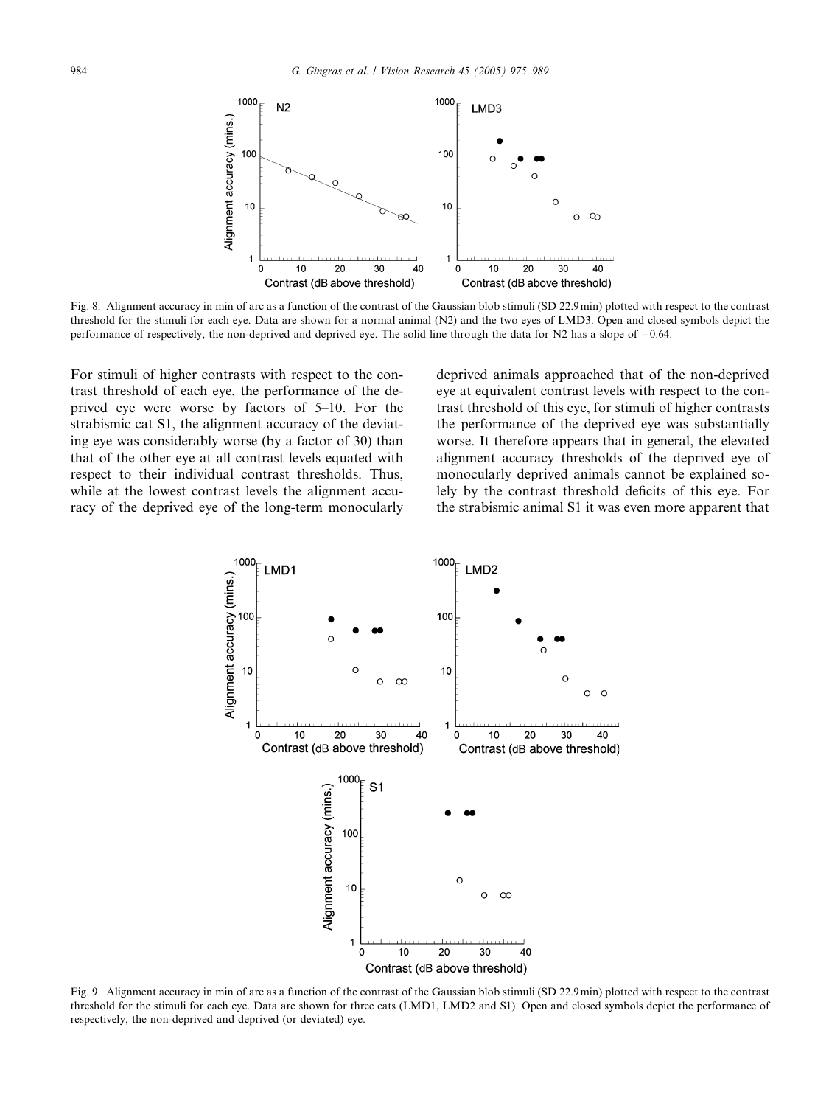<span id="page-9-0"></span>

Fig. 8. Alignment accuracy in min of arc as a function of the contrast of the Gaussian blob stimuli (SD 22.9min) plotted with respect to the contrast threshold for the stimuli for each eye. Data are shown for a normal animal (N2) and the two eyes of LMD3. Open and closed symbols depict the performance of respectively, the non-deprived and deprived eye. The solid line through the data for  $N2$  has a slope of  $-0.64$ .

For stimuli of higher contrasts with respect to the contrast threshold of each eye, the performance of the deprived eye were worse by factors of 5–10. For the strabismic cat S1, the alignment accuracy of the deviating eye was considerably worse (by a factor of 30) than that of the other eye at all contrast levels equated with respect to their individual contrast thresholds. Thus, while at the lowest contrast levels the alignment accuracy of the deprived eye of the long-term monocularly deprived animals approached that of the non-deprived eye at equivalent contrast levels with respect to the contrast threshold of this eye, for stimuli of higher contrasts the performance of the deprived eye was substantially worse. It therefore appears that in general, the elevated alignment accuracy thresholds of the deprived eye of monocularly deprived animals cannot be explained solely by the contrast threshold deficits of this eye. For the strabismic animal S1 it was even more apparent that



Fig. 9. Alignment accuracy in min of arc as a function of the contrast of the Gaussian blob stimuli (SD 22.9min) plotted with respect to the contrast threshold for the stimuli for each eye. Data are shown for three cats (LMD1, LMD2 and S1). Open and closed symbols depict the performance of respectively, the non-deprived and deprived (or deviated) eye.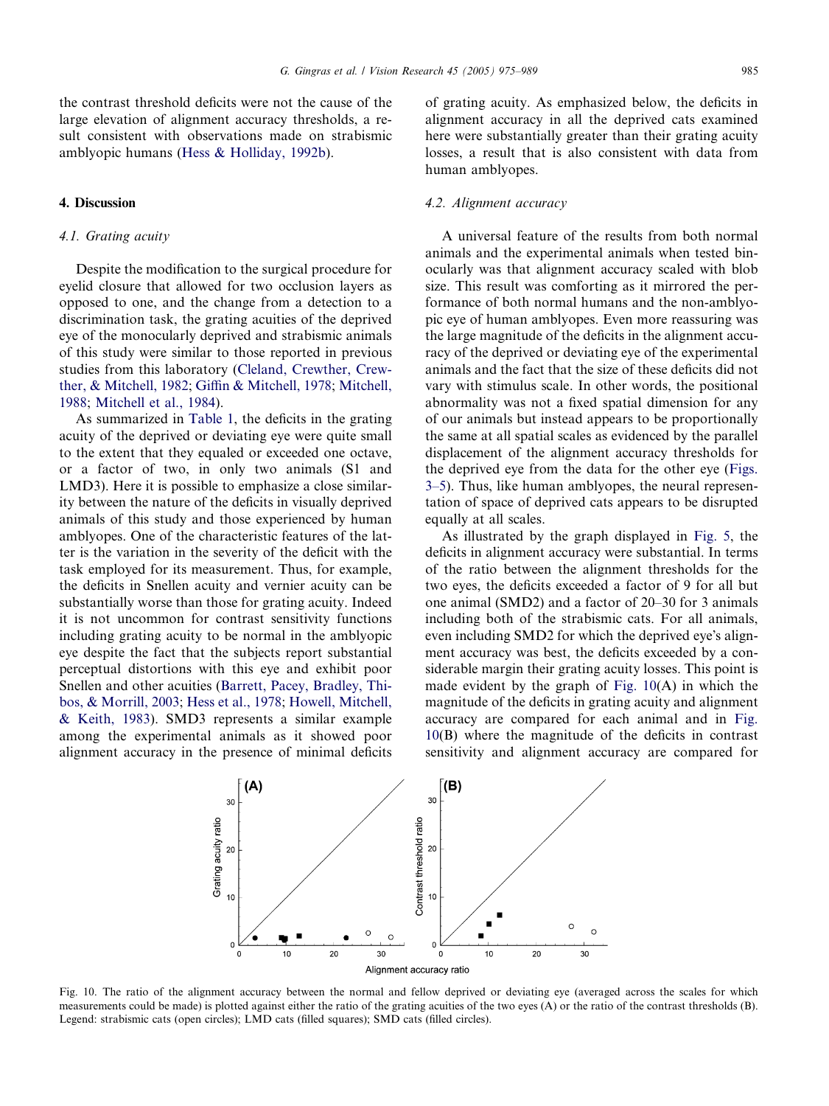the contrast threshold deficits were not the cause of the large elevation of alignment accuracy thresholds, a result consistent with observations made on strabismic amblyopic humans (Hess & [Holliday,](#page-13-0) 1992b).

#### 4. Discussion

# 4.1. Grating acuity

Despite the modification to the surgical procedure for eyelid closure that allowed for two occlusion layers as opposed to one, and the change from a detection to a discrimination task, the grating acuities of the deprived eye of the monocularly deprived and strabismic animals of this study were similar to those reported in previous studies from this laboratory (Cleland, [Crewther,](#page-13-0) Crewther, & [Mitchell,](#page-13-0) 1982; Giffin & [Mitchell,](#page-13-0) 1978; [Mitchell,](#page-14-0) [1988](#page-14-0); [Mitchell](#page-14-0) et al., 1984).

As summarized in [Table](#page-2-0) 1, the deficits in the grating acuity of the deprived or deviating eye were quite small to the extent that they equaled or exceeded one octave, or a factor of two, in only two animals (S1 and LMD3). Here it is possible to emphasize a close similarity between the nature of the deficits in visually deprived animals of this study and those experienced by human amblyopes. One of the characteristic features of the latter is the variation in the severity of the deficit with the task employed for its measurement. Thus, for example, the deficits in Snellen acuity and vernier acuity can be substantially worse than those for grating acuity. Indeed it is not uncommon for contrast sensitivity functions including grating acuity to be normal in the amblyopic eye despite the fact that the subjects report substantial perceptual distortions with this eye and exhibit poor Snellen and other acuities (Barrett, Pacey, [Bradley,](#page-13-0) Thibos, & [Morrill,](#page-13-0) 2003; [Hess](#page-13-0) et al., 1978; Howell, [Mitchell,](#page-13-0) & [Keith,](#page-13-0) 1983). SMD3 represents a similar example among the experimental animals as it showed poor alignment accuracy in the presence of minimal deficits

of grating acuity. As emphasized below, the deficits in alignment accuracy in all the deprived cats examined here were substantially greater than their grating acuity losses, a result that is also consistent with data from human amblyopes.

# 4.2. Alignment accuracy

A universal feature of the results from both normal animals and the experimental animals when tested binocularly was that alignment accuracy scaled with blob size. This result was comforting as it mirrored the performance of both normal humans and the non-amblyopic eye of human amblyopes. Even more reassuring was the large magnitude of the deficits in the alignment accuracy of the deprived or deviating eye of the experimental animals and the fact that the size of these deficits did not vary with stimulus scale. In other words, the positional abnormality was not a fixed spatial dimension for any of our animals but instead appears to be proportionally the same at all spatial scales as evidenced by the parallel displacement of the alignment accuracy thresholds for the deprived eye from the data for the other eye ([Figs.](#page-6-0) [3–5](#page-6-0)). Thus, like human amblyopes, the neural representation of space of deprived cats appears to be disrupted equally at all scales.

As illustrated by the graph displayed in [Fig.](#page-8-0) 5, the deficits in alignment accuracy were substantial. In terms of the ratio between the alignment thresholds for the two eyes, the deficits exceeded a factor of 9 for all but one animal (SMD2) and a factor of 20–30 for 3 animals including both of the strabismic cats. For all animals, even including SMD2 for which the deprived eye's alignment accuracy was best, the deficits exceeded by a considerable margin their grating acuity losses. This point is made evident by the graph of Fig. 10(A) in which the magnitude of the deficits in grating acuity and alignment accuracy are compared for each animal and in Fig. 10(B) where the magnitude of the deficits in contrast sensitivity and alignment accuracy are compared for



Fig. 10. The ratio of the alignment accuracy between the normal and fellow deprived or deviating eye (averaged across the scales for which measurements could be made) is plotted against either the ratio of the grating acuities of the two eyes (A) or the ratio of the contrast thresholds (B). Legend: strabismic cats (open circles); LMD cats (filled squares); SMD cats (filled circles).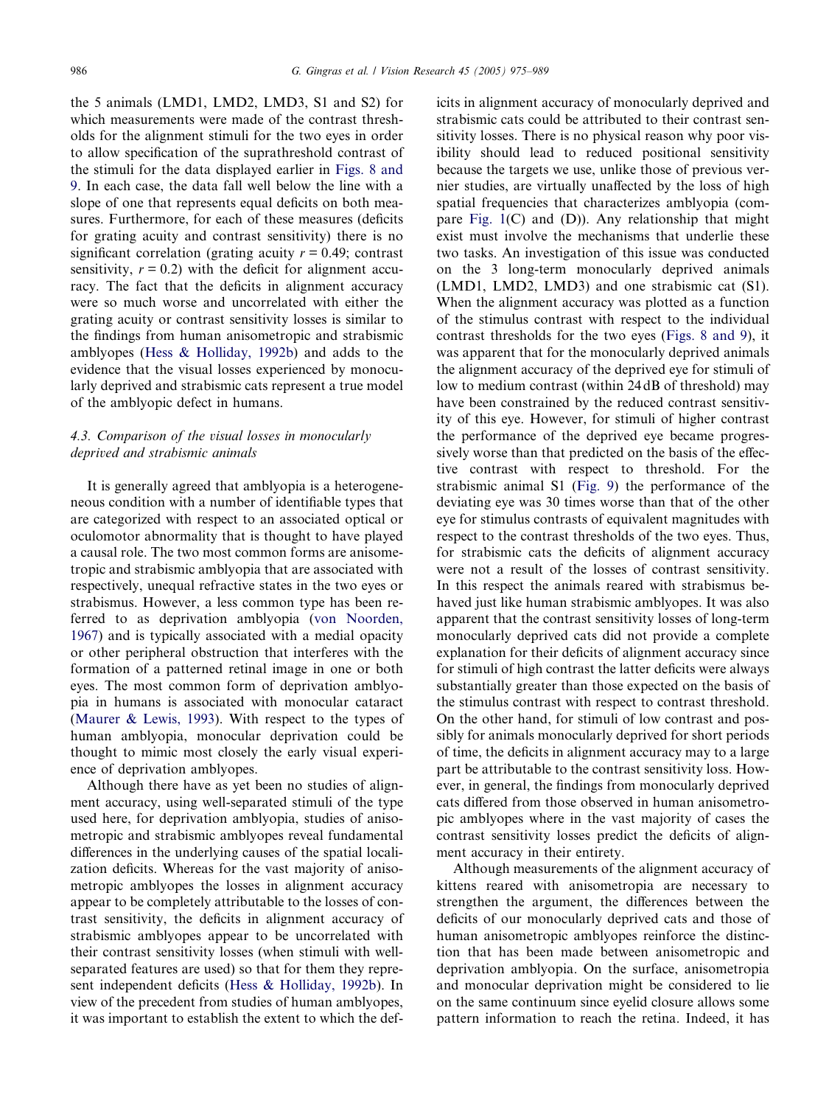the 5 animals (LMD1, LMD2, LMD3, S1 and S2) for which measurements were made of the contrast thresholds for the alignment stimuli for the two eyes in order to allow specification of the suprathreshold contrast of the stimuli for the data displayed earlier in [Figs.](#page-9-0) 8 and [9.](#page-9-0) In each case, the data fall well below the line with a slope of one that represents equal deficits on both measures. Furthermore, for each of these measures (deficits for grating acuity and contrast sensitivity) there is no significant correlation (grating acuity  $r = 0.49$ ; contrast sensitivity,  $r = 0.2$ ) with the deficit for alignment accuracy. The fact that the deficits in alignment accuracy were so much worse and uncorrelated with either the grating acuity or contrast sensitivity losses is similar to the findings from human anisometropic and strabismic amblyopes (Hess & [Holliday,](#page-13-0) 1992b) and adds to the evidence that the visual losses experienced by monocularly deprived and strabismic cats represent a true model of the amblyopic defect in humans.

# 4.3. Comparison of the visual losses in monocularly deprived and strabismic animals

It is generally agreed that amblyopia is a heterogeneneous condition with a number of identifiable types that are categorized with respect to an associated optical or oculomotor abnormality that is thought to have played a causal role. The two most common forms are anisometropic and strabismic amblyopia that are associated with respectively, unequal refractive states in the two eyes or strabismus. However, a less common type has been referred to as deprivation amblyopia (von [Noorden,](#page-14-0) [1967\)](#page-14-0) and is typically associated with a medial opacity or other peripheral obstruction that interferes with the formation of a patterned retinal image in one or both eyes. The most common form of deprivation amblyopia in humans is associated with monocular cataract ([Maurer](#page-14-0) & Lewis, 1993). With respect to the types of human amblyopia, monocular deprivation could be thought to mimic most closely the early visual experience of deprivation amblyopes.

Although there have as yet been no studies of alignment accuracy, using well-separated stimuli of the type used here, for deprivation amblyopia, studies of anisometropic and strabismic amblyopes reveal fundamental differences in the underlying causes of the spatial localization deficits. Whereas for the vast majority of anisometropic amblyopes the losses in alignment accuracy appear to be completely attributable to the losses of contrast sensitivity, the deficits in alignment accuracy of strabismic amblyopes appear to be uncorrelated with their contrast sensitivity losses (when stimuli with wellseparated features are used) so that for them they represent independent deficits (Hess & [Holliday,](#page-13-0) 1992b). In view of the precedent from studies of human amblyopes, it was important to establish the extent to which the deficits in alignment accuracy of monocularly deprived and strabismic cats could be attributed to their contrast sensitivity losses. There is no physical reason why poor visibility should lead to reduced positional sensitivity because the targets we use, unlike those of previous vernier studies, are virtually unaffected by the loss of high spatial frequencies that characterizes amblyopia (compare [Fig.](#page-4-0) 1(C) and (D)). Any relationship that might exist must involve the mechanisms that underlie these two tasks. An investigation of this issue was conducted on the 3 long-term monocularly deprived animals (LMD1, LMD2, LMD3) and one strabismic cat (S1). When the alignment accuracy was plotted as a function of the stimulus contrast with respect to the individual contrast thresholds for the two eyes [\(Figs.](#page-9-0) 8 and 9), it was apparent that for the monocularly deprived animals the alignment accuracy of the deprived eye for stimuli of low to medium contrast (within 24dB of threshold) may have been constrained by the reduced contrast sensitivity of this eye. However, for stimuli of higher contrast the performance of the deprived eye became progressively worse than that predicted on the basis of the effective contrast with respect to threshold. For the strabismic animal S1 [\(Fig.](#page-9-0) 9) the performance of the deviating eye was 30 times worse than that of the other eye for stimulus contrasts of equivalent magnitudes with respect to the contrast thresholds of the two eyes. Thus, for strabismic cats the deficits of alignment accuracy were not a result of the losses of contrast sensitivity. In this respect the animals reared with strabismus behaved just like human strabismic amblyopes. It was also apparent that the contrast sensitivity losses of long-term monocularly deprived cats did not provide a complete explanation for their deficits of alignment accuracy since for stimuli of high contrast the latter deficits were always substantially greater than those expected on the basis of the stimulus contrast with respect to contrast threshold. On the other hand, for stimuli of low contrast and possibly for animals monocularly deprived for short periods of time, the deficits in alignment accuracy may to a large part be attributable to the contrast sensitivity loss. However, in general, the findings from monocularly deprived cats differed from those observed in human anisometropic amblyopes where in the vast majority of cases the contrast sensitivity losses predict the deficits of alignment accuracy in their entirety.

Although measurements of the alignment accuracy of kittens reared with anisometropia are necessary to strengthen the argument, the differences between the deficits of our monocularly deprived cats and those of human anisometropic amblyopes reinforce the distinction that has been made between anisometropic and deprivation amblyopia. On the surface, anisometropia and monocular deprivation might be considered to lie on the same continuum since eyelid closure allows some pattern information to reach the retina. Indeed, it has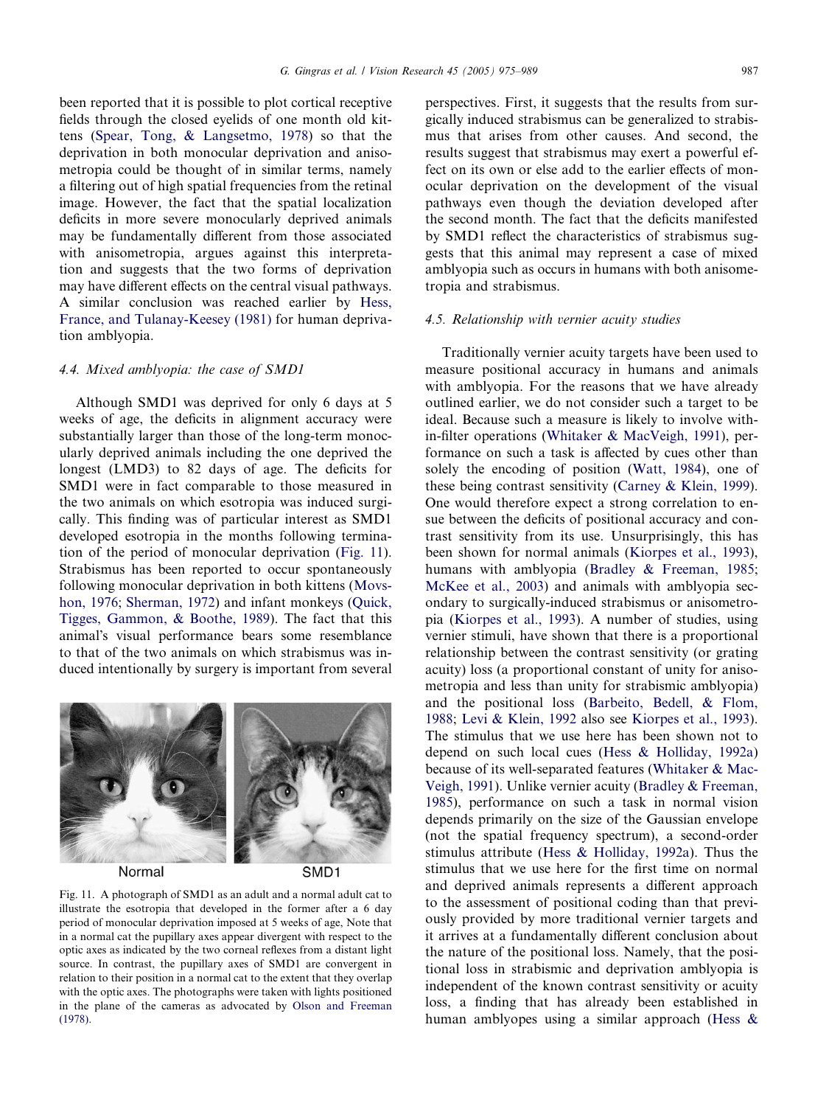<span id="page-12-0"></span>been reported that it is possible to plot cortical receptive fields through the closed eyelids of one month old kittens (Spear, Tong, & [Langsetmo,](#page-14-0) 1978) so that the deprivation in both monocular deprivation and anisometropia could be thought of in similar terms, namely a filtering out of high spatial frequencies from the retinal image. However, the fact that the spatial localization deficits in more severe monocularly deprived animals may be fundamentally different from those associated with anisometropia, argues against this interpretation and suggests that the two forms of deprivation may have different effects on the central visual pathways. A similar conclusion was reached earlier by [Hess,](#page-13-0) France, and [Tulanay-Keesey](#page-13-0) (1981) for human deprivation amblyopia.

### 4.4. Mixed amblyopia: the case of SMD1

Although SMD1 was deprived for only 6 days at 5 weeks of age, the deficits in alignment accuracy were substantially larger than those of the long-term monocularly deprived animals including the one deprived the longest (LMD3) to 82 days of age. The deficits for SMD1 were in fact comparable to those measured in the two animals on which esotropia was induced surgically. This finding was of particular interest as SMD1 developed esotropia in the months following termination of the period of monocular deprivation (Fig. 11). Strabismus has been reported to occur spontaneously following monocular deprivation in both kittens [\(Movs](#page-14-0)hon, [1976;](#page-14-0) [Sherman,](#page-14-0) 1972) and infant monkeys [\(Quick,](#page-14-0) Tigges, [Gammon,](#page-14-0) & Boothe, 1989). The fact that this animal's visual performance bears some resemblance to that of the two animals on which strabismus was induced intentionally by surgery is important from several



Normal

SMD<sub>1</sub>

Fig. 11. A photograph of SMD1 as an adult and a normal adult cat to illustrate the esotropia that developed in the former after a 6 day period of monocular deprivation imposed at 5 weeks of age, Note that in a normal cat the pupillary axes appear divergent with respect to the optic axes as indicated by the two corneal reflexes from a distant light source. In contrast, the pupillary axes of SMD1 are convergent in relation to their position in a normal cat to the extent that they overlap with the optic axes. The photographs were taken with lights positioned in the plane of the cameras as advocated by Olson and [Freeman](#page-14-0) [\(1978\).](#page-14-0)

perspectives. First, it suggests that the results from surgically induced strabismus can be generalized to strabismus that arises from other causes. And second, the results suggest that strabismus may exert a powerful effect on its own or else add to the earlier effects of monocular deprivation on the development of the visual pathways even though the deviation developed after the second month. The fact that the deficits manifested by SMD1 reflect the characteristics of strabismus suggests that this animal may represent a case of mixed amblyopia such as occurs in humans with both anisometropia and strabismus.

#### 4.5. Relationship with vernier acuity studies

Traditionally vernier acuity targets have been used to measure positional accuracy in humans and animals with amblyopia. For the reasons that we have already outlined earlier, we do not consider such a target to be ideal. Because such a measure is likely to involve within-filter operations (Whitaker & [MacVeigh,](#page-14-0) 1991), performance on such a task is affected by cues other than solely the encoding of position [\(Watt,](#page-14-0) 1984), one of these being contrast sensitivity ([Carney](#page-13-0) & Klein, 1999). One would therefore expect a strong correlation to ensue between the deficits of positional accuracy and contrast sensitivity from its use. Unsurprisingly, this has been shown for normal animals [\(Kiorpes](#page-13-0) et al., 1993), humans with amblyopia (Bradley & [Freeman,](#page-13-0) 1985; [McKee](#page-14-0) et al., 2003) and animals with amblyopia secondary to surgically-induced strabismus or anisometropia [\(Kiorpes](#page-13-0) et al., 1993). A number of studies, using vernier stimuli, have shown that there is a proportional relationship between the contrast sensitivity (or grating acuity) loss (a proportional constant of unity for anisometropia and less than unity for strabismic amblyopia) and the positional loss ([Barbeito,](#page-13-0) Bedell, & Flom, [1988](#page-13-0); Levi & [Klein,](#page-14-0) 1992 also see [Kiorpes](#page-13-0) et al., 1993). The stimulus that we use here has been shown not to depend on such local cues (Hess & [Holliday,](#page-13-0) 1992a) because of its well-separated features ([Whitaker](#page-14-0) & Mac-[Veigh,](#page-14-0) 1991). Unlike vernier acuity (Bradley & [Freeman,](#page-13-0) [1985](#page-13-0)), performance on such a task in normal vision depends primarily on the size of the Gaussian envelope (not the spatial frequency spectrum), a second-order stimulus attribute (Hess & [Holliday,](#page-13-0) 1992a). Thus the stimulus that we use here for the first time on normal and deprived animals represents a different approach to the assessment of positional coding than that previously provided by more traditional vernier targets and it arrives at a fundamentally different conclusion about the nature of the positional loss. Namely, that the positional loss in strabismic and deprivation amblyopia is independent of the known contrast sensitivity or acuity loss, a finding that has already been established in human amblyopes using a similar approach ([Hess](#page-13-0) &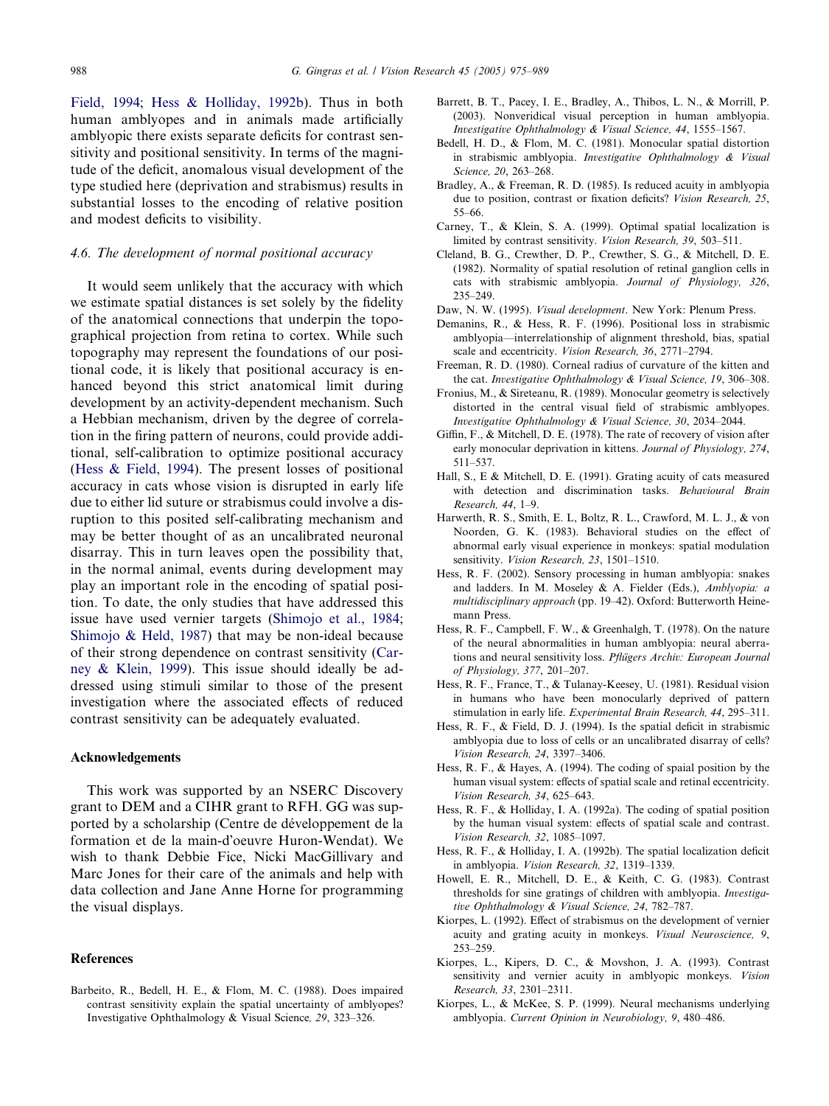<span id="page-13-0"></span>Field, 1994; Hess & Holliday, 1992b). Thus in both human amblyopes and in animals made artificially amblyopic there exists separate deficits for contrast sensitivity and positional sensitivity. In terms of the magnitude of the deficit, anomalous visual development of the type studied here (deprivation and strabismus) results in substantial losses to the encoding of relative position and modest deficits to visibility.

#### 4.6. The development of normal positional accuracy

It would seem unlikely that the accuracy with which we estimate spatial distances is set solely by the fidelity of the anatomical connections that underpin the topographical projection from retina to cortex. While such topography may represent the foundations of our positional code, it is likely that positional accuracy is enhanced beyond this strict anatomical limit during development by an activity-dependent mechanism. Such a Hebbian mechanism, driven by the degree of correlation in the firing pattern of neurons, could provide additional, self-calibration to optimize positional accuracy (Hess & Field, 1994). The present losses of positional accuracy in cats whose vision is disrupted in early life due to either lid suture or strabismus could involve a disruption to this posited self-calibrating mechanism and may be better thought of as an uncalibrated neuronal disarray. This in turn leaves open the possibility that, in the normal animal, events during development may play an important role in the encoding of spatial position. To date, the only studies that have addressed this issue have used vernier targets [\(Shimojo](#page-14-0) et al., 1984; [Shimojo](#page-14-0) & Held, 1987) that may be non-ideal because of their strong dependence on contrast sensitivity (Carney & Klein, 1999). This issue should ideally be addressed using stimuli similar to those of the present investigation where the associated effects of reduced contrast sensitivity can be adequately evaluated.

# Acknowledgements

This work was supported by an NSERC Discovery grant to DEM and a CIHR grant to RFH. GG was supported by a scholarship (Centre de développement de la formation et de la main-d'oeuvre Huron-Wendat). We wish to thank Debbie Fice, Nicki MacGillivary and Marc Jones for their care of the animals and help with data collection and Jane Anne Horne for programming the visual displays.

#### References

Barbeito, R., Bedell, H. E., & Flom, M. C. (1988). Does impaired contrast sensitivity explain the spatial uncertainty of amblyopes? Investigative Ophthalmology & Visual Science, 29, 323–326.

- Barrett, B. T., Pacey, I. E., Bradley, A., Thibos, L. N., & Morrill, P. (2003). Nonveridical visual perception in human amblyopia. Investigative Ophthalmology & Visual Science, 44, 1555–1567.
- Bedell, H. D., & Flom, M. C. (1981). Monocular spatial distortion in strabismic amblyopia. Investigative Ophthalmology & Visual Science, 20, 263–268.
- Bradley, A., & Freeman, R. D. (1985). Is reduced acuity in amblyopia due to position, contrast or fixation deficits? Vision Research, 25, 55–66.
- Carney, T., & Klein, S. A. (1999). Optimal spatial localization is limited by contrast sensitivity. Vision Research, 39, 503–511.
- Cleland, B. G., Crewther, D. P., Crewther, S. G., & Mitchell, D. E. (1982). Normality of spatial resolution of retinal ganglion cells in cats with strabismic amblyopia. Journal of Physiology, 326, 235–249.
- Daw, N. W. (1995). Visual development. New York: Plenum Press.
- Demanins, R., & Hess, R. F. (1996). Positional loss in strabismic amblyopia—interrelationship of alignment threshold, bias, spatial scale and eccentricity. Vision Research, 36, 2771–2794.
- Freeman, R. D. (1980). Corneal radius of curvature of the kitten and the cat. Investigative Ophthalmology & Visual Science, 19, 306–308.
- Fronius, M., & Sireteanu, R. (1989). Monocular geometry is selectively distorted in the central visual field of strabismic amblyopes. Investigative Ophthalmology & Visual Science, 30, 2034–2044.
- Giffin, F., & Mitchell, D. E. (1978). The rate of recovery of vision after early monocular deprivation in kittens. Journal of Physiology, 274, 511–537.
- Hall, S., E & Mitchell, D. E. (1991). Grating acuity of cats measured with detection and discrimination tasks. Behavioural Brain Research, 44, 1–9.
- Harwerth, R. S., Smith, E. L, Boltz, R. L., Crawford, M. L. J., & von Noorden, G. K. (1983). Behavioral studies on the effect of abnormal early visual experience in monkeys: spatial modulation sensitivity. Vision Research, 23, 1501-1510.
- Hess, R. F. (2002). Sensory processing in human amblyopia: snakes and ladders. In M. Moseley & A. Fielder (Eds.), Amblyopia: a multidisciplinary approach (pp. 19–42). Oxford: Butterworth Heinemann Press.
- Hess, R. F., Campbell, F. W., & Greenhalgh, T. (1978). On the nature of the neural abnormalities in human amblyopia: neural aberrations and neural sensitivity loss. Pflügers Archiv: European Journal of Physiology, 377, 201–207.
- Hess, R. F., France, T., & Tulanay-Keesey, U. (1981). Residual vision in humans who have been monocularly deprived of pattern stimulation in early life. Experimental Brain Research, 44, 295–311.
- Hess, R. F., & Field, D. J. (1994). Is the spatial deficit in strabismic amblyopia due to loss of cells or an uncalibrated disarray of cells? Vision Research, 24, 3397–3406.
- Hess, R. F., & Hayes, A. (1994). The coding of spaial position by the human visual system: effects of spatial scale and retinal eccentricity. Vision Research, 34, 625–643.
- Hess, R. F., & Holliday, I. A. (1992a). The coding of spatial position by the human visual system: effects of spatial scale and contrast. Vision Research, 32, 1085–1097.
- Hess, R. F., & Holliday, I. A. (1992b). The spatial localization deficit in amblyopia. Vision Research, 32, 1319–1339.
- Howell, E. R., Mitchell, D. E., & Keith, C. G. (1983). Contrast thresholds for sine gratings of children with amblyopia. Investigative Ophthalmology & Visual Science, 24, 782–787.
- Kiorpes, L. (1992). Effect of strabismus on the development of vernier acuity and grating acuity in monkeys. Visual Neuroscience, 9, 253–259.
- Kiorpes, L., Kipers, D. C., & Movshon, J. A. (1993). Contrast sensitivity and vernier acuity in amblyopic monkeys. Vision Research, 33, 2301–2311.
- Kiorpes, L., & McKee, S. P. (1999). Neural mechanisms underlying amblyopia. Current Opinion in Neurobiology, 9, 480–486.